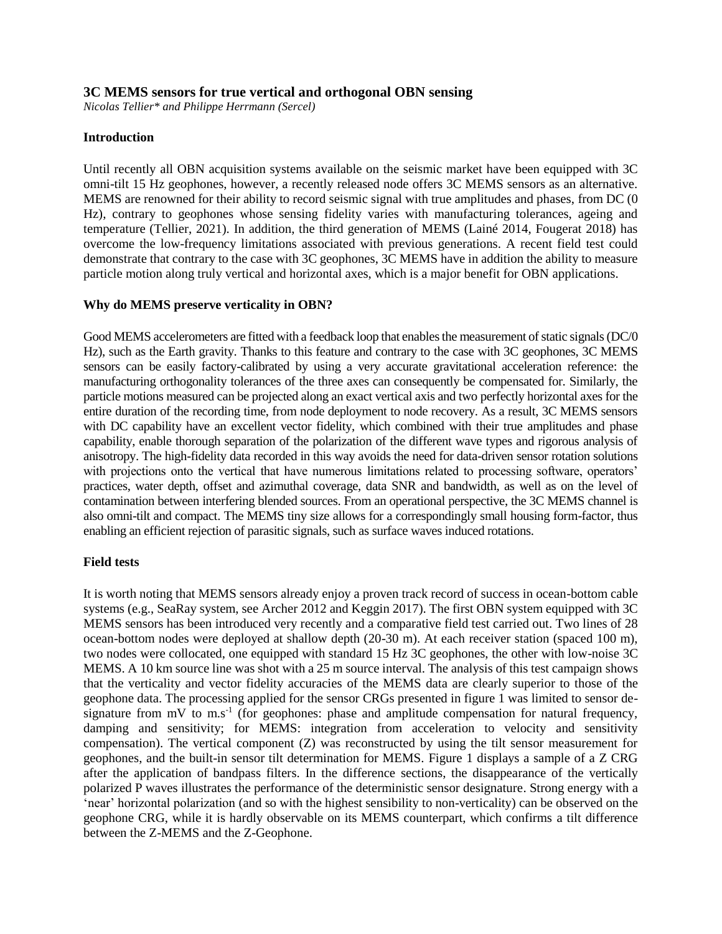## **3C MEMS sensors for true vertical and orthogonal OBN sensing**

*Nicolas Tellier\* and Philippe Herrmann (Sercel)*

# **Introduction**

Until recently all OBN acquisition systems available on the seismic market have been equipped with 3C omni-tilt 15 Hz geophones, however, a recently released node offers 3C MEMS sensors as an alternative. MEMS are renowned for their ability to record seismic signal with true amplitudes and phases, from DC (0 Hz), contrary to geophones whose sensing fidelity varies with manufacturing tolerances, ageing and temperature (Tellier, 2021). In addition, the third generation of MEMS (Lainé 2014, Fougerat 2018) has overcome the low-frequency limitations associated with previous generations. A recent field test could demonstrate that contrary to the case with 3C geophones, 3C MEMS have in addition the ability to measure particle motion along truly vertical and horizontal axes, which is a major benefit for OBN applications.

#### **Why do MEMS preserve verticality in OBN?**

Good MEMS accelerometers are fitted with a feedback loop that enables the measurement of static signals (DC/0 Hz), such as the Earth gravity. Thanks to this feature and contrary to the case with 3C geophones, 3C MEMS sensors can be easily factory-calibrated by using a very accurate gravitational acceleration reference: the manufacturing orthogonality tolerances of the three axes can consequently be compensated for. Similarly, the particle motions measured can be projected along an exact vertical axis and two perfectly horizontal axes for the entire duration of the recording time, from node deployment to node recovery. As a result, 3C MEMS sensors with DC capability have an excellent vector fidelity, which combined with their true amplitudes and phase capability, enable thorough separation of the polarization of the different wave types and rigorous analysis of anisotropy. The high-fidelity data recorded in this way avoids the need for data-driven sensor rotation solutions with projections onto the vertical that have numerous limitations related to processing software, operators' practices, water depth, offset and azimuthal coverage, data SNR and bandwidth, as well as on the level of contamination between interfering blended sources. From an operational perspective, the 3C MEMS channel is also omni-tilt and compact. The MEMS tiny size allows for a correspondingly small housing form-factor, thus enabling an efficient rejection of parasitic signals, such as surface waves induced rotations.

#### **Field tests**

It is worth noting that MEMS sensors already enjoy a proven track record of success in ocean-bottom cable systems (e.g., SeaRay system, see Archer 2012 and Keggin 2017). The first OBN system equipped with 3C MEMS sensors has been introduced very recently and a comparative field test carried out. Two lines of 28 ocean-bottom nodes were deployed at shallow depth (20-30 m). At each receiver station (spaced 100 m), two nodes were collocated, one equipped with standard 15 Hz 3C geophones, the other with low-noise 3C MEMS. A 10 km source line was shot with a 25 m source interval. The analysis of this test campaign shows that the verticality and vector fidelity accuracies of the MEMS data are clearly superior to those of the geophone data. The processing applied for the sensor CRGs presented in figure 1 was limited to sensor designature from  $mV$  to  $m.s^{-1}$  (for geophones: phase and amplitude compensation for natural frequency, damping and sensitivity; for MEMS: integration from acceleration to velocity and sensitivity compensation). The vertical component (Z) was reconstructed by using the tilt sensor measurement for geophones, and the built-in sensor tilt determination for MEMS. Figure 1 displays a sample of a Z CRG after the application of bandpass filters. In the difference sections, the disappearance of the vertically polarized P waves illustrates the performance of the deterministic sensor designature. Strong energy with a 'near' horizontal polarization (and so with the highest sensibility to non-verticality) can be observed on the geophone CRG, while it is hardly observable on its MEMS counterpart, which confirms a tilt difference between the Z-MEMS and the Z-Geophone.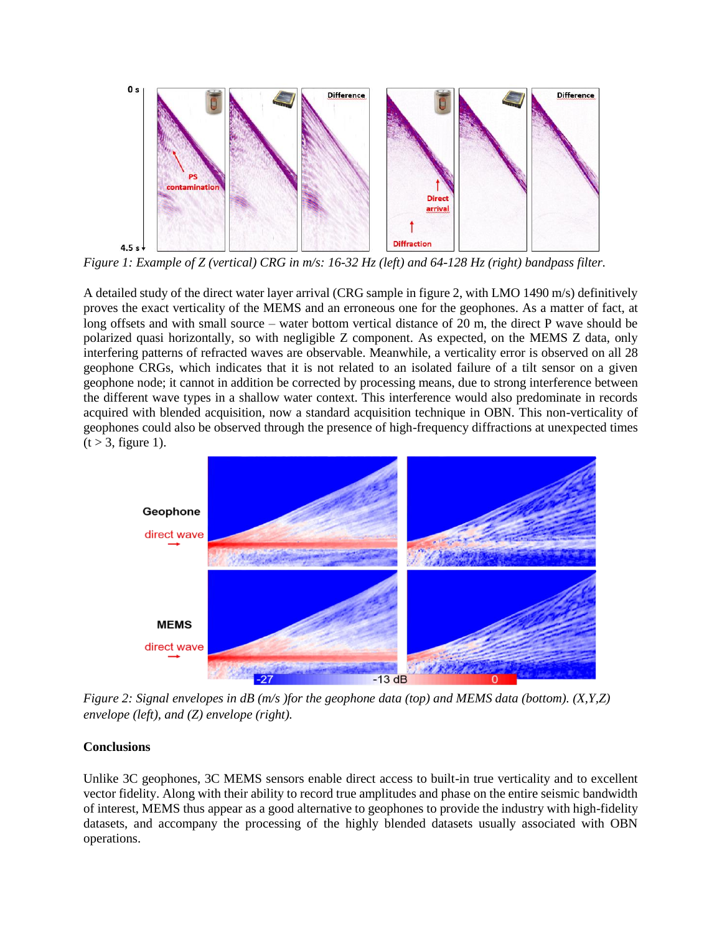

*Figure 1: Example of Z (vertical) CRG in m/s: 16-32 Hz (left) and 64-128 Hz (right) bandpass filter.*

A detailed study of the direct water layer arrival (CRG sample in figure 2, with LMO 1490 m/s) definitively proves the exact verticality of the MEMS and an erroneous one for the geophones. As a matter of fact, at long offsets and with small source – water bottom vertical distance of 20 m, the direct P wave should be polarized quasi horizontally, so with negligible Z component. As expected, on the MEMS Z data, only interfering patterns of refracted waves are observable. Meanwhile, a verticality error is observed on all 28 geophone CRGs, which indicates that it is not related to an isolated failure of a tilt sensor on a given geophone node; it cannot in addition be corrected by processing means, due to strong interference between the different wave types in a shallow water context. This interference would also predominate in records acquired with blended acquisition, now a standard acquisition technique in OBN. This non-verticality of geophones could also be observed through the presence of high-frequency diffractions at unexpected times  $(t > 3$ , figure 1).



*Figure 2: Signal envelopes in dB (m/s )for the geophone data (top) and MEMS data (bottom). (X,Y,Z) envelope (left), and (Z) envelope (right).*

#### **Conclusions**

Unlike 3C geophones, 3C MEMS sensors enable direct access to built-in true verticality and to excellent vector fidelity. Along with their ability to record true amplitudes and phase on the entire seismic bandwidth of interest, MEMS thus appear as a good alternative to geophones to provide the industry with high-fidelity datasets, and accompany the processing of the highly blended datasets usually associated with OBN operations.